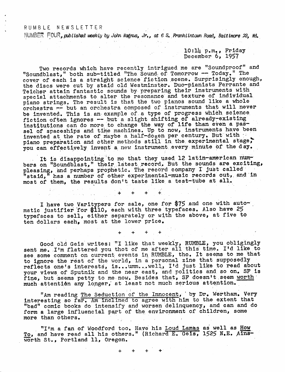## RUMBLE NEWSLETTER

NUMBER *published weekly by John. Magnus, Jrt, at <sup>6</sup> <sup>S</sup><sup>t</sup> Franklintcwn Hoad, Baltimore 23, Md\**

 $10:11$  p.m., Friday December 6, 1957

Two records which have recently intrigued me are ''Soundproof" and ''Soundblast,'' both sub-titled ''The. Sound; of Tomorrow —; Today." The cover of each is a straight science fiction scene. Surprisingly enough, the discs were cut by staid old Westminster. Duo-pianists Ferrante and Teicher attain fantastic sounds by preparing their instruments with reigner attain lantastic sounds by preparing their instruments in the resonance and texture of individual special attachments to after the resonance and solidite of finally reads orchestra — but an orchestra composed of instruments that will never be invented. This is. an example of a type of progress which science fiction often ignores — but a slight shifting of already-existing institutions can do more to change the way of life than even a passel of spaceships and time machines. Up to now, instruments have been invented at the rate of maybe a half-dozen per century. But with piano preparation and other methods still in the experimental stage, you can effectively invent a new instrument every minute of the day.

It is disappointing to me that they used <sup>12</sup> latin-american numbers on "Soundblast," their latest record. But the sounds are exciting, pleasing, and perhaps prophetic. The record compahy I just called ''staid," has <sup>a</sup> number of other experimental-music records out,, and in most of them, the results don't taste like <sup>a</sup> test-tube at all.

I have two Varitypers for sale, one for \$75 and one with automatic justifier for \$110, each with three typefaces. Also have <sup>25</sup> typefaces to sell, either separately or with the above, at five to ten dollars each, most at the lower price.

+ + + +

**+ 4- + . +**

Good old Geis writes: "I like that weekly, RUMBLE, you obligingly<br>sent me. I'm flattered you thot of me after all this time. I'd like to see some comment on current events in RUMBLE, tho. It seems to me that to ignore the rest of the world, in a personal zine that supposedly reflects one's interests, is...umm...well, I'd just like to read about your views of Sputnik and the near east, and politics and so on. SF is fine, but seems petty to me now. Besides that, SF doesn't seem worth much attention any longer, at least not much serious attention.

"Am reading The Seduction of the Innocent, by Dr. Wertham. Very interesting so far. Am inclined to agree with him to the extent that "bad" comic books do intensify and worsen delinquency, and can and do form a large influencial part of the environment of children, some more than others.

"I'm a fan of Woodford too. Have his Loud Lamas as well as How To, and have read all his others." (Richard E. Geis, <sup>1525</sup> N.E. Ains worth St., Portland 11, Oregon.

**+ 4- + +**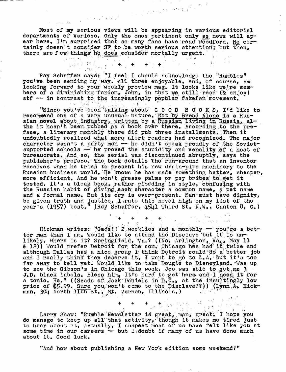Most of my serious views will be appearing in various editorial departments of Varioso. Only the ones pertinent only as news will apear here. I'm surprised that so many fans have read Woodford. He certainly doesn't consider SF to be worth serious attention; but then, there are f ew things he does consider mortally urgent.  $\begin{pmatrix} \frac{1}{2} & \frac{1}{2} & \frac{1}{2} & \frac{1}{2} & \frac{1}{2} & \frac{1}{2} & \frac{1}{2} & \frac{1}{2} & \frac{1}{2} & \frac{1}{2} & \frac{1}{2} & \frac{1}{2} & \frac{1}{2} & \frac{1}{2} & \frac{1}{2} & \frac{1}{2} & \frac{1}{2} & \frac{1}{2} & \frac{1}{2} & \frac{1}{2} & \frac{1}{2} & \frac{1}{2} & \frac{1}{2} & \frac{1}{2} & \frac{1}{2} & \frac{1}{2} & \frac{1}{2$ 

Ray Schaffer says: "I feel I should acknowledge the ''Rumbles" you've been sending my way. All three enjoyable. And, of course, am looking forward to your weekly proview mag. It looks like we're memlooking forward to your weekly proview mag. It looks like we're members of a diminishing fandom, John, in that we still read (& enjoy) stf - in contrast to the increasingly popular fakefan movement.

"Since you've been talking about  $G$  O O D B O O K S, I'd like to recommend one of a very unusual nature. Not by Bread Alone is a Russian novel about industry, written by a Russian living in Russia, alsian nover about industry, written by a Russian living in Russia, are<br>tho it hasn't been pubbed as a book over there. According to the prethe it hasn't been pubbed as a book over there. According to the prace, a literary monthly there did pub three installments. Then it face, a literary monthly there did pub three installments. Then it<br>undoubtedly realized what more alert readers had recognized. The major character wasn't a party man - he didn't speak proudly of the Sovietsupported schools  $-$  he proved the stupidity and venality of a host of bureaucrats. And so, the serial was discontinued abruptly, says the publisher's preface.' The book details the run-around that an inventor receives when he tries to present his new drain-pipe machinery to the Russian business world. He knows he has made something better, cheaper, more efficient. And he won't grease palms or pay bribes to get it tested. It's a bleak book, rather plodding in style, confusing with the Russian habit of giving each character a common name, a pet name and a formal name. But its cry is ever-present. Man must have dignity, and a formal name. But its cry is ever-present. Man must have dignited be given truth and justice. I rate this novel high on my list of the be green staan and justice. Third of this need high on my first of and the year's (1957) best." (Ray Schaffer, 4541 Third St. N.W., Canton 8, 0.)

+ + + +. . Hickman writes: "Gads!! 2 weeklies and a monthly - you're a better man than I am. Would like to attend the Disclave but it is unlikely. Where is it? Springfield, Va.? ((No. Arlington, Va,, May 11 & 12)) Would prefer Detroit for the con. Chicago has had it twice and although Dallas has a nice group I think Detroit could do a better job<br>and I really think they deserve it. I want to go to L.A. but it's too and I really think they deserve it. I want to go to L.A. but it's too far away to tell yet. Would like to take Dougie to Disneyland. Was up to see the Gibson's in Chicago this week. Jpe was able to get.me <sup>3</sup> J.D. black labels. Bless him. It's hard to get here and I need it for a tonic. Ha." ((Scads of Jack Daniels in D.C., at the insultingly low price of \$5.99. Sure you won't come to the Disclave??)) (Lynn A. Hickman, 304 North 11th St., Mt. Vernon, Illinois.)

Larry Shaw: "Rumble Newsletter is great, man, great. I hope you Larry Shaw: "Rumble Newsletter is great, man, great. I hope you<br>do manage to keep up all that activity, though it makes me tired just do manage to keep up all that activity, though it makes me tired just<br>to hear about it. Actually, I suspect most of us have felt like you at some time in our careers — but  $I_1$  doubt if many of us have done much about it. Good luck.

 $\pm$  ,  $\pm$  ,  $\pm$  ,  $\pm$   $\mathbb{R}_{\geq 0}$  ,  $\mathbb{R}_{\geq 0}$  ,  $\mathbb{R}$  ,  $\mathbb{R}_{\geq 0}$  ,  $\mathbb{R}_{\geq 0}$  ,  $\mathbb{R}_{\geq 0}$ 

 $\label{eq:1} \mathcal{L}_{\text{max}} = \left\{ \mathcal{L}_{\text{max}}^{\text{max}} \left( \mathcal{L}_{\text{max}}^{\text{max}} \right) \right\}$ 

"And how about publishing a New York edition some weekend?"